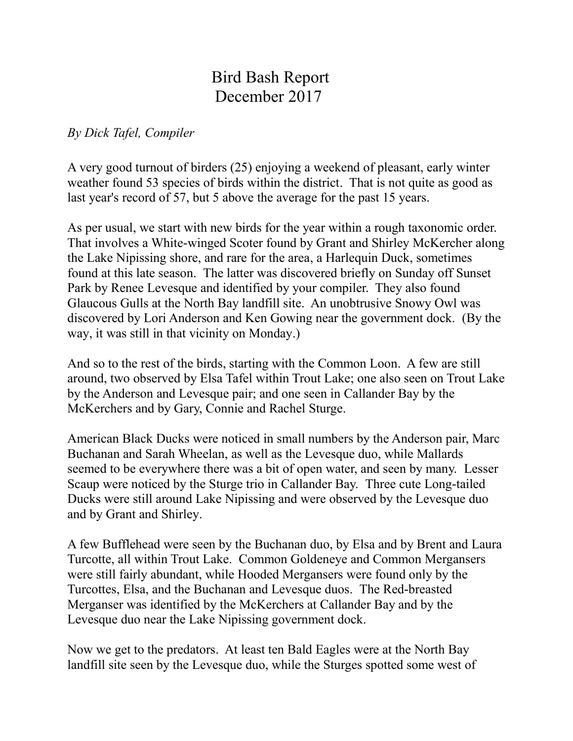## Bird Bash Report December 2017

## *By Dick Tafel, Compiler*

A very good turnout of birders (25) enjoying a weekend of pleasant, early winter weather found 53 species of birds within the district. That is not quite as good as last year's record of 57, but 5 above the average for the past 15 years.

As per usual, we start with new birds for the year within a rough taxonomic order. That involves a White-winged Scoter found by Grant and Shirley McKercher along the Lake Nipissing shore, and rare for the area, a Harlequin Duck, sometimes found at this late season. The latter was discovered briefly on Sunday off Sunset Park by Renee Levesque and identified by your compiler. They also found Glaucous Gulls at the North Bay landfill site. An unobtrusive Snowy Owl was discovered by Lori Anderson and Ken Gowing near the government dock. (By the way, it was still in that vicinity on Monday.)

And so to the rest of the birds, starting with the Common Loon. A few are still around, two observed by Elsa Tafel within Trout Lake; one also seen on Trout Lake by the Anderson and Levesque pair; and one seen in Callander Bay by the McKerchers and by Gary, Connie and Rachel Sturge.

American Black Ducks were noticed in small numbers by the Anderson pair, Marc Buchanan and Sarah Wheelan, as well as the Levesque duo, while Mallards seemed to be everywhere there was a bit of open water, and seen by many. Lesser Scaup were noticed by the Sturge trio in Callander Bay. Three cute Long-tailed Ducks were still around Lake Nipissing and were observed by the Levesque duo and by Grant and Shirley.

A few Bufflehead were seen by the Buchanan duo, by Elsa and by Brent and Laura Turcotte, all within Trout Lake. Common Goldeneye and Common Mergansers were still fairly abundant, while Hooded Mergansers were found only by the Turcottes, Elsa, and the Buchanan and Levesque duos. The Red-breasted Merganser was identified by the McKerchers at Callander Bay and by the Levesque duo near the Lake Nipissing government dock.

Now we get to the predators. At least ten Bald Eagles were at the North Bay landfill site seen by the Levesque duo, while the Sturges spotted some west of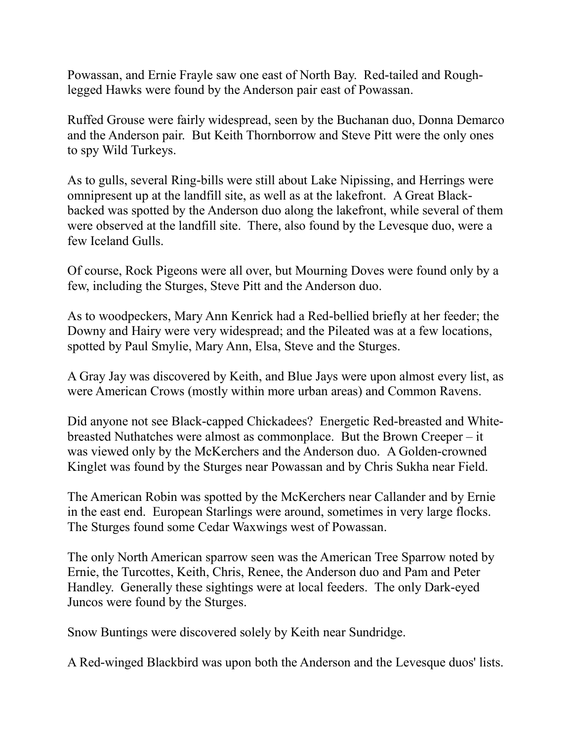Powassan, and Ernie Frayle saw one east of North Bay. Red-tailed and Roughlegged Hawks were found by the Anderson pair east of Powassan.

Ruffed Grouse were fairly widespread, seen by the Buchanan duo, Donna Demarco and the Anderson pair. But Keith Thornborrow and Steve Pitt were the only ones to spy Wild Turkeys.

As to gulls, several Ring-bills were still about Lake Nipissing, and Herrings were omnipresent up at the landfill site, as well as at the lakefront. A Great Blackbacked was spotted by the Anderson duo along the lakefront, while several of them were observed at the landfill site. There, also found by the Levesque duo, were a few Iceland Gulls.

Of course, Rock Pigeons were all over, but Mourning Doves were found only by a few, including the Sturges, Steve Pitt and the Anderson duo.

As to woodpeckers, Mary Ann Kenrick had a Red-bellied briefly at her feeder; the Downy and Hairy were very widespread; and the Pileated was at a few locations, spotted by Paul Smylie, Mary Ann, Elsa, Steve and the Sturges.

A Gray Jay was discovered by Keith, and Blue Jays were upon almost every list, as were American Crows (mostly within more urban areas) and Common Ravens.

Did anyone not see Black-capped Chickadees? Energetic Red-breasted and Whitebreasted Nuthatches were almost as commonplace. But the Brown Creeper – it was viewed only by the McKerchers and the Anderson duo. A Golden-crowned Kinglet was found by the Sturges near Powassan and by Chris Sukha near Field.

The American Robin was spotted by the McKerchers near Callander and by Ernie in the east end. European Starlings were around, sometimes in very large flocks. The Sturges found some Cedar Waxwings west of Powassan.

The only North American sparrow seen was the American Tree Sparrow noted by Ernie, the Turcottes, Keith, Chris, Renee, the Anderson duo and Pam and Peter Handley. Generally these sightings were at local feeders. The only Dark-eyed Juncos were found by the Sturges.

Snow Buntings were discovered solely by Keith near Sundridge.

A Red-winged Blackbird was upon both the Anderson and the Levesque duos' lists.